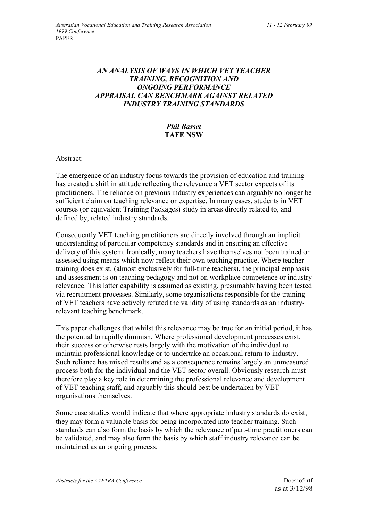## *AN ANALYSIS OF WAYS IN WHICH VET TEACHER TRAINING, RECOGNITION AND ONGOING PERFORMANCE APPRAISAL CAN BENCHMARK AGAINST RELATED INDUSTRY TRAINING STANDARDS*

## *Phil Basset* **TAFE NSW**

Abstract:

The emergence of an industry focus towards the provision of education and training has created a shift in attitude reflecting the relevance a VET sector expects of its practitioners. The reliance on previous industry experiences can arguably no longer be sufficient claim on teaching relevance or expertise. In many cases, students in VET courses (or equivalent Training Packages) study in areas directly related to, and defined by, related industry standards.

Consequently VET teaching practitioners are directly involved through an implicit understanding of particular competency standards and in ensuring an effective delivery of this system. Ironically, many teachers have themselves not been trained or assessed using means which now reflect their own teaching practice. Where teacher training does exist, (almost exclusively for full-time teachers), the principal emphasis and assessment is on teaching pedagogy and not on workplace competence or industry relevance. This latter capability is assumed as existing, presumably having been tested via recruitment processes. Similarly, some organisations responsible for the training of VET teachers have actively refuted the validity of using standards as an industryrelevant teaching benchmark.

This paper challenges that whilst this relevance may be true for an initial period, it has the potential to rapidly diminish. Where professional development processes exist, their success or otherwise rests largely with the motivation of the individual to maintain professional knowledge or to undertake an occasional return to industry. Such reliance has mixed results and as a consequence remains largely an unmeasured process both for the individual and the VET sector overall. Obviously research must therefore play a key role in determining the professional relevance and development of VET teaching staff, and arguably this should best be undertaken by VET organisations themselves.

Some case studies would indicate that where appropriate industry standards do exist, they may form a valuable basis for being incorporated into teacher training. Such standards can also form the basis by which the relevance of part-time practitioners can be validated, and may also form the basis by which staff industry relevance can be maintained as an ongoing process.